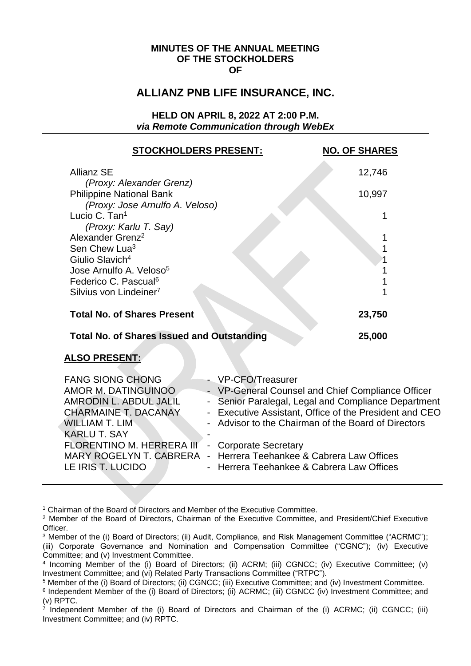#### **MINUTES OF THE ANNUAL MEETING OF THE STOCKHOLDERS OF**

## **ALLIANZ PNB LIFE INSURANCE, INC.**

**HELD ON APRIL 8, 2022 AT 2:00 P.M.** *via Remote Communication through WebEx* 

| <b>STOCKHOLDERS PRESENT:</b>                                 |                                         | <b>NO. OF SHARES</b>                                 |
|--------------------------------------------------------------|-----------------------------------------|------------------------------------------------------|
| <b>Allianz SE</b>                                            |                                         | 12,746                                               |
| (Proxy: Alexander Grenz)<br><b>Philippine National Bank</b>  |                                         | 10,997                                               |
| (Proxy: Jose Arnulfo A. Veloso)<br>Lucio C. Tan <sup>1</sup> |                                         |                                                      |
| (Proxy: Karlu T. Say)<br>Alexander Grenz <sup>2</sup>        |                                         |                                                      |
| Sen Chew Lua <sup>3</sup>                                    |                                         |                                                      |
| Giulio Slavich <sup>4</sup>                                  |                                         |                                                      |
| Jose Arnulfo A. Veloso <sup>5</sup>                          |                                         |                                                      |
| Federico C. Pascual <sup>6</sup>                             |                                         |                                                      |
| Silvius von Lindeiner <sup>7</sup>                           |                                         |                                                      |
| <b>Total No. of Shares Present</b>                           |                                         | 23,750                                               |
| <b>Total No. of Shares Issued and Outstanding</b>            |                                         | 25,000                                               |
| <b>ALSO PRESENT:</b>                                         |                                         |                                                      |
| <b>FANG SIONG CHONG</b>                                      | VP-CFO/Treasurer                        |                                                      |
| AMOR M. DATINGUINOO                                          |                                         | - VP-General Counsel and Chief Compliance Officer    |
| <b>AMRODIN L. ABDUL JALIL</b>                                |                                         | Senior Paralegal, Legal and Compliance Department    |
| <b>CHARMAINE T. DACANAY</b>                                  |                                         | Executive Assistant, Office of the President and CEO |
| <b>WILLIAM T. LIM</b>                                        |                                         | Advisor to the Chairman of the Board of Directors    |
| <b>KARLU T. SAY</b>                                          |                                         |                                                      |
| <b>FLORENTINO M. HERRERA III</b>                             | <b>Corporate Secretary</b>              |                                                      |
| <b>MARY ROGELYN T. CABRERA</b>                               | Herrera Teehankee & Cabrera Law Offices |                                                      |

LE IRIS T. LUCIDO | Reflection - Herrera Teehankee & Cabrera Law Offices

<sup>1</sup> Chairman of the Board of Directors and Member of the Executive Committee.

<sup>2</sup> Member of the Board of Directors, Chairman of the Executive Committee, and President/Chief Executive Officer.

<sup>3</sup> Member of the (i) Board of Directors; (ii) Audit, Compliance, and Risk Management Committee ("ACRMC"); (iii) Corporate Governance and Nomination and Compensation Committee ("CGNC"); (iv) Executive Committee; and (v) Investment Committee.

<sup>4</sup> Incoming Member of the (i) Board of Directors; (ii) ACRM; (iii) CGNCC; (iv) Executive Committee; (v) Investment Committee; and (vi) Related Party Transactions Committee ("RTPC").

<sup>5</sup> Member of the (i) Board of Directors; (ii) CGNCC; (iii) Executive Committee; and (iv) Investment Committee.

<sup>&</sup>lt;sup>6</sup> Independent Member of the (i) Board of Directors; (ii) ACRMC; (iii) CGNCC (iv) Investment Committee; and (v) RPTC. 7 Independent Member of the (i) Board of Directors and Chairman of the (i) ACRMC; (ii) CGNCC; (iii)

Investment Committee; and (iv) RPTC.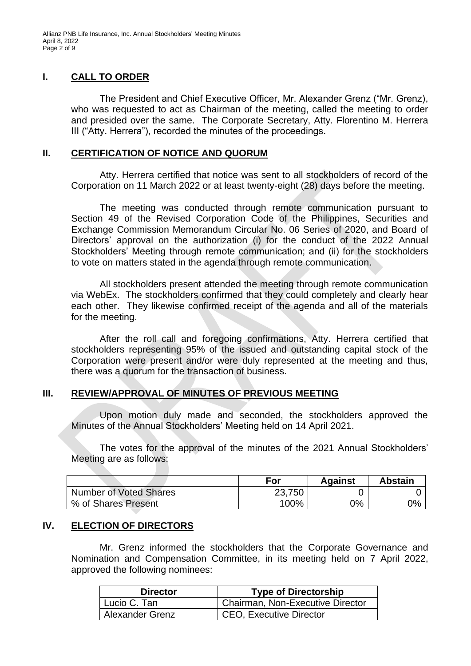Allianz PNB Life Insurance, Inc. Annual Stockholders' Meeting Minutes April 8, 2022 Page 2 of 9

#### **I. CALL TO ORDER**

The President and Chief Executive Officer, Mr. Alexander Grenz ("Mr. Grenz), who was requested to act as Chairman of the meeting, called the meeting to order and presided over the same. The Corporate Secretary, Atty. Florentino M. Herrera III ("Atty. Herrera"), recorded the minutes of the proceedings.

#### **II. CERTIFICATION OF NOTICE AND QUORUM**

Atty. Herrera certified that notice was sent to all stockholders of record of the Corporation on 11 March 2022 or at least twenty-eight (28) days before the meeting.

The meeting was conducted through remote communication pursuant to Section 49 of the Revised Corporation Code of the Philippines, Securities and Exchange Commission Memorandum Circular No. 06 Series of 2020, and Board of Directors' approval on the authorization (i) for the conduct of the 2022 Annual Stockholders' Meeting through remote communication; and (ii) for the stockholders to vote on matters stated in the agenda through remote communication.

All stockholders present attended the meeting through remote communication via WebEx. The stockholders confirmed that they could completely and clearly hear each other. They likewise confirmed receipt of the agenda and all of the materials for the meeting.

After the roll call and foregoing confirmations, Atty. Herrera certified that stockholders representing 95% of the issued and outstanding capital stock of the Corporation were present and/or were duly represented at the meeting and thus, there was a quorum for the transaction of business.

#### **III. REVIEW/APPROVAL OF MINUTES OF PREVIOUS MEETING**

Upon motion duly made and seconded, the stockholders approved the Minutes of the Annual Stockholders' Meeting held on 14 April 2021.

The votes for the approval of the minutes of the 2021 Annual Stockholders' Meeting are as follows:

|                        | For    | <b>Against</b> | <b>Abstain</b> |
|------------------------|--------|----------------|----------------|
| Number of Voted Shares | 23,750 |                |                |
| % of Shares Present    | 100%   | $0\%$          | 0%             |

#### **IV. ELECTION OF DIRECTORS**

Mr. Grenz informed the stockholders that the Corporate Governance and Nomination and Compensation Committee, in its meeting held on 7 April 2022, approved the following nominees:

| <b>Director</b> | <b>Type of Directorship</b>      |
|-----------------|----------------------------------|
| Lucio C. Tan    | Chairman, Non-Executive Director |
| Alexander Grenz | <b>CEO, Executive Director</b>   |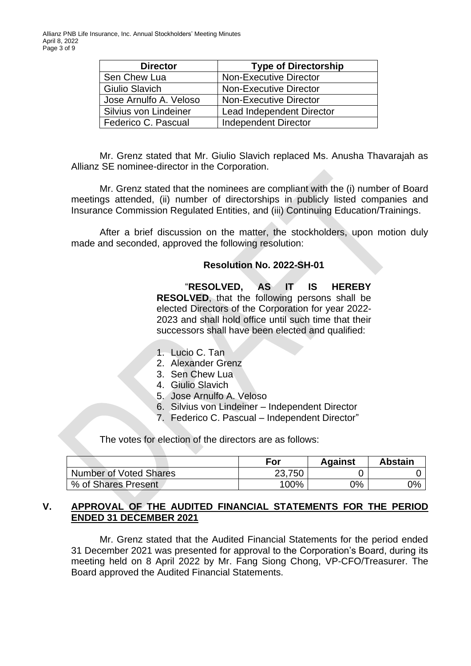| <b>Director</b>        | <b>Type of Directorship</b>   |
|------------------------|-------------------------------|
| Sen Chew Lua           | <b>Non-Executive Director</b> |
| <b>Giulio Slavich</b>  | <b>Non-Executive Director</b> |
| Jose Arnulfo A. Veloso | <b>Non-Executive Director</b> |
| Silvius von Lindeiner  | Lead Independent Director     |
| Federico C. Pascual    | <b>Independent Director</b>   |

Mr. Grenz stated that Mr. Giulio Slavich replaced Ms. Anusha Thavarajah as Allianz SE nominee-director in the Corporation.

Mr. Grenz stated that the nominees are compliant with the (i) number of Board meetings attended, (ii) number of directorships in publicly listed companies and Insurance Commission Regulated Entities, and (iii) Continuing Education/Trainings.

After a brief discussion on the matter, the stockholders, upon motion duly made and seconded, approved the following resolution:

#### **Resolution No. 2022-SH-01**

"**RESOLVED, AS IT IS HEREBY RESOLVED**, that the following persons shall be elected Directors of the Corporation for year 2022- 2023 and shall hold office until such time that their successors shall have been elected and qualified:

- 1. Lucio C. Tan
- 2. Alexander Grenz
- 3. Sen Chew Lua
- 4. Giulio Slavich
- 5. Jose Arnulfo A. Veloso
- 6. Silvius von Lindeiner Independent Director
- 7. Federico C. Pascual Independent Director"

The votes for election of the directors are as follows:

|                        | For    | <b>Against</b> | <b>Abstain</b> |
|------------------------|--------|----------------|----------------|
| Number of Voted Shares | 23,750 |                |                |
| √% of Shares Present   | 100%   | 0%             | 0%             |

#### **V. APPROVAL OF THE AUDITED FINANCIAL STATEMENTS FOR THE PERIOD ENDED 31 DECEMBER 2021**

Mr. Grenz stated that the Audited Financial Statements for the period ended 31 December 2021 was presented for approval to the Corporation's Board, during its meeting held on 8 April 2022 by Mr. Fang Siong Chong, VP-CFO/Treasurer. The Board approved the Audited Financial Statements.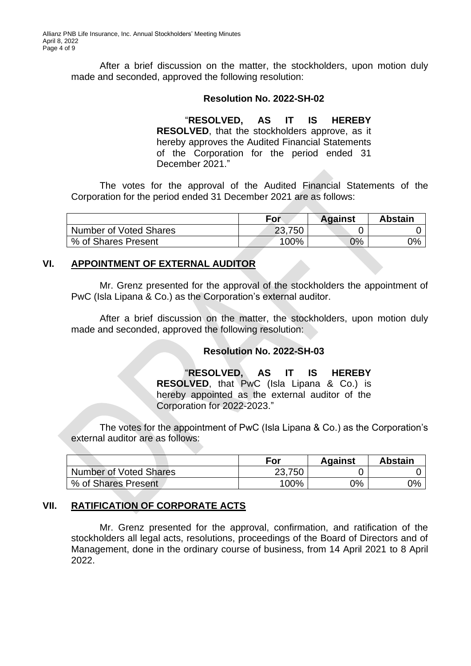After a brief discussion on the matter, the stockholders, upon motion duly made and seconded, approved the following resolution:

#### **Resolution No. 2022-SH-02**

"**RESOLVED, AS IT IS HEREBY RESOLVED**, that the stockholders approve, as it hereby approves the Audited Financial Statements of the Corporation for the period ended 31 December 2021<sup>"</sup>

The votes for the approval of the Audited Financial Statements of the Corporation for the period ended 31 December 2021 are as follows:

|                               | For       | <b>Against</b> | <b>Abstain</b> |
|-------------------------------|-----------|----------------|----------------|
| <b>Number of Voted Shares</b> | 23,750    |                |                |
| % of Shares Present           | $100\%$ . | 0%             | 0%             |

#### **VI. APPOINTMENT OF EXTERNAL AUDITOR**

Mr. Grenz presented for the approval of the stockholders the appointment of PwC (Isla Lipana & Co.) as the Corporation's external auditor.

After a brief discussion on the matter, the stockholders, upon motion duly made and seconded, approved the following resolution:

#### **Resolution No. 2022-SH-03**

"**RESOLVED, AS IT IS HEREBY RESOLVED**, that PwC (Isla Lipana & Co.) is hereby appointed as the external auditor of the Corporation for 2022-2023."

The votes for the appointment of PwC (Isla Lipana & Co.) as the Corporation's external auditor are as follows:

|                               | For    | <b>Against</b> | <b>Abstain</b> |
|-------------------------------|--------|----------------|----------------|
| <b>Number of Voted Shares</b> | 23,750 |                |                |
| % of Shares Present           | 100%   | 0%             | 0%             |

### **VII. RATIFICATION OF CORPORATE ACTS**

Mr. Grenz presented for the approval, confirmation, and ratification of the stockholders all legal acts, resolutions, proceedings of the Board of Directors and of Management, done in the ordinary course of business, from 14 April 2021 to 8 April 2022.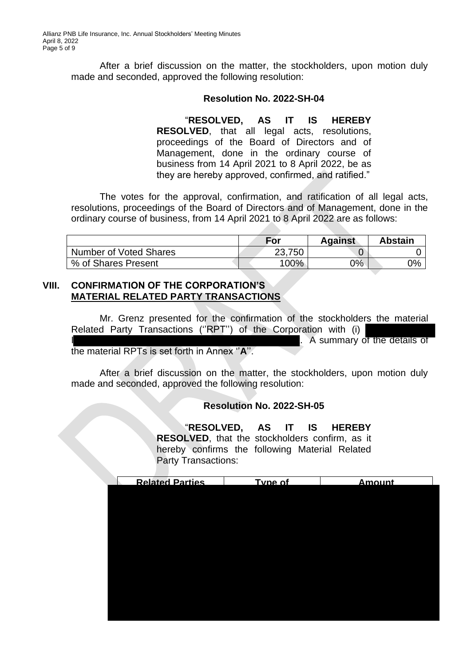After a brief discussion on the matter, the stockholders, upon motion duly made and seconded, approved the following resolution:

#### **Resolution No. 2022-SH-04**

## "**RESOLVED, AS IT IS HEREBY**

**RESOLVED**, that all legal acts, resolutions, proceedings of the Board of Directors and of Management, done in the ordinary course of business from 14 April 2021 to 8 April 2022, be as they are hereby approved, confirmed, and ratified."

The votes for the approval, confirmation, and ratification of all legal acts, resolutions, proceedings of the Board of Directors and of Management, done in the ordinary course of business, from 14 April 2021 to 8 April 2022 are as follows:

|                               | For     | <b>Against</b> | <b>Abstain</b> |  |
|-------------------------------|---------|----------------|----------------|--|
| <b>Number of Voted Shares</b> | 23,750  |                |                |  |
| % of Shares Present           | $100\%$ | $0\%$          | 0%             |  |

#### **VIII. CONFIRMATION OF THE CORPORATION'S MATERIAL RELATED PARTY TRANSACTIONS**

Mr. Grenz presented for the confirmation of the stockholders the material Related Party Transactions ("RPT") of the Corporation with (i) . A summary of the details of the material RPTs is set forth in Annex ''**A**''.

After a brief discussion on the matter, the stockholders, upon motion duly made and seconded, approved the following resolution:

#### **Resolution No. 2022-SH-05**

"**RESOLVED, AS IT IS HEREBY RESOLVED**, that the stockholders confirm, as it hereby confirms the following Material Related Party Transactions:

| <b>Related Parties</b> | Type of | <b>Amount</b> |
|------------------------|---------|---------------|
|                        |         |               |
|                        |         |               |
|                        |         |               |
|                        |         |               |
|                        |         |               |
|                        |         |               |
|                        |         |               |
|                        |         |               |
|                        |         |               |
|                        |         |               |
|                        |         |               |
|                        |         |               |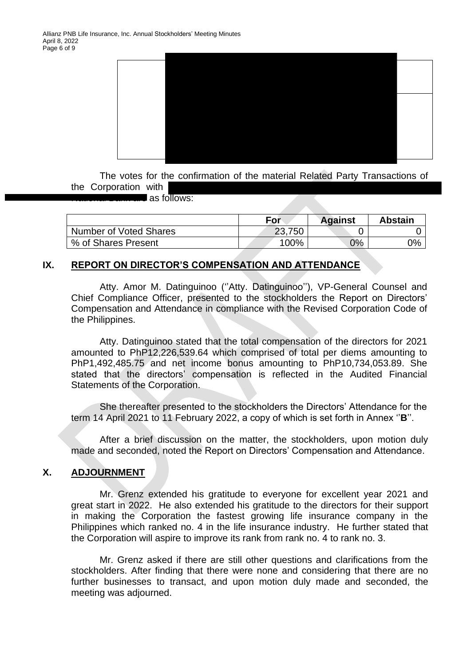

The votes for the confirmation of the material Related Party Transactions of the Corporation with

 $\blacksquare$  as follows:

|                        | <b>For</b> | <b>Against</b> | <b>Abstain</b> |
|------------------------|------------|----------------|----------------|
| Number of Voted Shares | 23,750     |                |                |
| % of Shares Present    | $100\%$    | 0%             | 0%             |

#### **IX. REPORT ON DIRECTOR'S COMPENSATION AND ATTENDANCE**

Atty. Amor M. Datinguinoo (''Atty. Datinguinoo''), VP-General Counsel and Chief Compliance Officer, presented to the stockholders the Report on Directors' Compensation and Attendance in compliance with the Revised Corporation Code of the Philippines.

Atty. Datinguinoo stated that the total compensation of the directors for 2021 amounted to PhP12,226,539.64 which comprised of total per diems amounting to PhP1,492,485.75 and net income bonus amounting to PhP10,734,053.89. She stated that the directors' compensation is reflected in the Audited Financial Statements of the Corporation.

She thereafter presented to the stockholders the Directors' Attendance for the term 14 April 2021 to 11 February 2022, a copy of which is set forth in Annex ''**B**''.

After a brief discussion on the matter, the stockholders, upon motion duly made and seconded, noted the Report on Directors' Compensation and Attendance.

#### **X. ADJOURNMENT**

Mr. Grenz extended his gratitude to everyone for excellent year 2021 and great start in 2022. He also extended his gratitude to the directors for their support in making the Corporation the fastest growing life insurance company in the Philippines which ranked no. 4 in the life insurance industry. He further stated that the Corporation will aspire to improve its rank from rank no. 4 to rank no. 3.

Mr. Grenz asked if there are still other questions and clarifications from the stockholders. After finding that there were none and considering that there are no further businesses to transact, and upon motion duly made and seconded, the meeting was adjourned.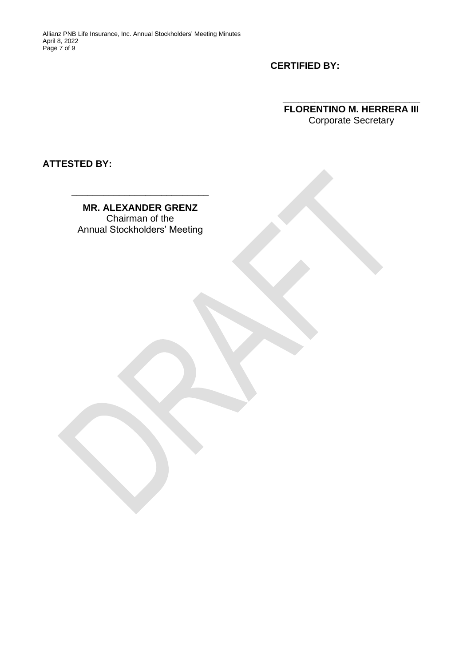**CERTIFIED BY:**

**FLORENTINO M. HERRERA III** Corporate Secretary

**\_\_\_\_\_\_\_\_\_\_\_\_\_\_\_\_\_\_\_\_\_\_\_\_\_\_**

**ATTESTED BY:** 

**MR. ALEXANDER GRENZ** Chairman of the Annual Stockholders' Meeting

**\_\_\_\_\_\_\_\_\_\_\_\_\_\_\_\_\_\_\_\_\_\_\_\_\_\_**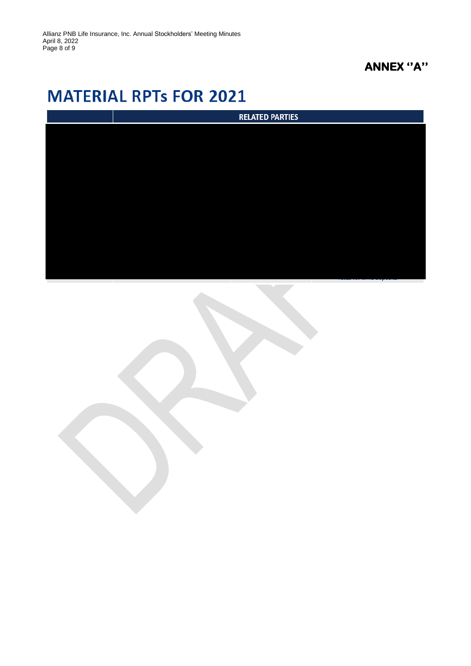## **ANNEX ''A''**

# **MATERIAL RPTs FOR 2021**